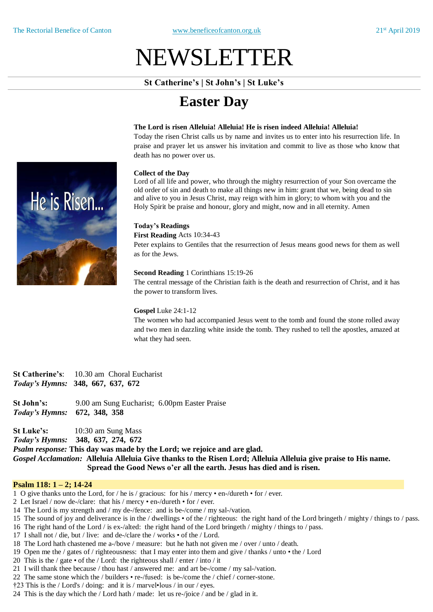# NEWSLETTER

## **St Catherine's | St John's | St Luke's**

# **Easter Day**

#### **The Lord is risen Alleluia! Alleluia! He is risen indeed Alleluia! Alleluia!**

Today the risen Christ calls us by name and invites us to enter into his resurrection life. In praise and prayer let us answer his invitation and commit to live as those who know that death has no power over us.

#### **Collect of the Day**

Lord of all life and power, who through the mighty resurrection of your Son overcame the old order of sin and death to make all things new in him: grant that we, being dead to sin and alive to you in Jesus Christ, may reign with him in glory; to whom with you and the Holy Spirit be praise and honour, glory and might, now and in all eternity. Amen

#### **Today's Readings**

**First Reading** Acts 10:34-43

Peter explains to Gentiles that the resurrection of Jesus means good news for them as well as for the Jews.

#### **Second Reading** 1 Corinthians 15:19-26

The central message of the Christian faith is the death and resurrection of Christ, and it has the power to transform lives.

#### **Gospel** Luke 24:1-12

The women who had accompanied Jesus went to the tomb and found the stone rolled away and two men in dazzling white inside the tomb. They rushed to tell the apostles, amazed at what they had seen.

**St Catherine's**: 10.30 am Choral Eucharist *Today's Hymns:* **348, 667, 637, 672**

**St John's:** 9.00 am Sung Eucharist; 6.00pm Easter Praise *Today's Hymns:* **672, 348, 358**

**St Luke's:** 10:30 am Sung Mass

*Today's Hymns:* **348, 637, 274, 672**

*Psalm response:* **This day was made by the Lord; we rejoice and are glad.**

Gospel Acclamation: Alleluia Alleluia Give thanks to the Risen Lord; Alleluia Alleluia give praise to His name. **Spread the Good News o'er all the earth. Jesus has died and is risen.**

#### **Psalm 118: 1 – 2; 14-24**

- 1 O give thanks unto the Lord, for / he is / gracious: for his / mercy en-/dureth for / ever.
- 2 Let Israel / now de-/clare: that his / mercy en-/dureth for / ever.
- 14 The Lord is my strength and / my de-/fence: and is be-/come / my sal-/vation.
- 15 The sound of joy and deliverance is in the / dwellings of the / righteous: the right hand of the Lord bringeth / mighty / things to / pass.
- 16 The right hand of the Lord / is ex-/alted: the right hand of the Lord bringeth / mighty / things to / pass.
- 17 I shall not / die, but / live: and de-/clare the / works of the / Lord.
- 18 The Lord hath chastened me a-/bove / measure: but he hath not given me / over / unto / death.
- 19 Open me the / gates of / righteousness: that I may enter into them and give / thanks / unto the / Lord
- 20 This is the / gate of the / Lord: the righteous shall / enter / into / it
- 21 I will thank thee because / thou hast / answered me: and art be-/come / my sal-/vation.
- 22 The same stone which the / builders re-/fused: is be-/come the / chief / corner-stone.
- †23 This is the / Lord's / doing: and it is / marvel•lous / in our / eyes.
- 24 This is the day which the / Lord hath / made: let us re-/joice / and be / glad in it.